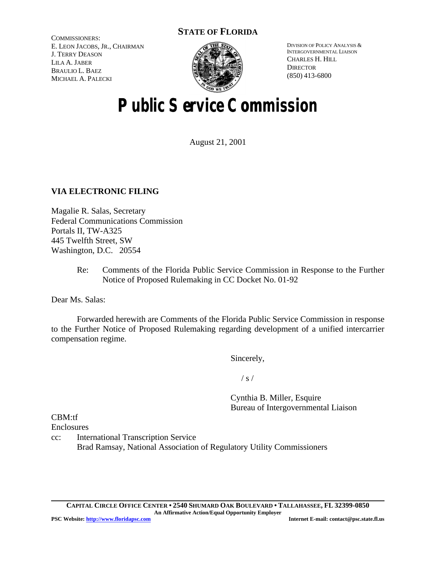# **STATE OF FLORIDA**

COMMISSIONERS: E. LEON JACOBS, JR., CHAIRMAN J. TERRY DEASON LILA A. JABER BRAULIO L. BAEZ MICHAEL A. PALECKI



DIVISION OF POLICY ANALYSIS & INTERGOVERNMENTAL LIAISON CHARLES H. HILL **DIRECTOR** (850) 413-6800

# **Public Service Commission**

August 21, 2001

# **VIA ELECTRONIC FILING**

Magalie R. Salas, Secretary Federal Communications Commission Portals II, TW-A325 445 Twelfth Street, SW Washington, D.C. 20554

> Re: Comments of the Florida Public Service Commission in Response to the Further Notice of Proposed Rulemaking in CC Docket No. 01-92

Dear Ms. Salas:

Forwarded herewith are Comments of the Florida Public Service Commission in response to the Further Notice of Proposed Rulemaking regarding development of a unified intercarrier compensation regime.

Sincerely,

 $/ s /$ 

Cynthia B. Miller, Esquire Bureau of Intergovernmental Liaison

CBM:tf

Enclosures

cc: International Transcription Service Brad Ramsay, National Association of Regulatory Utility Commissioners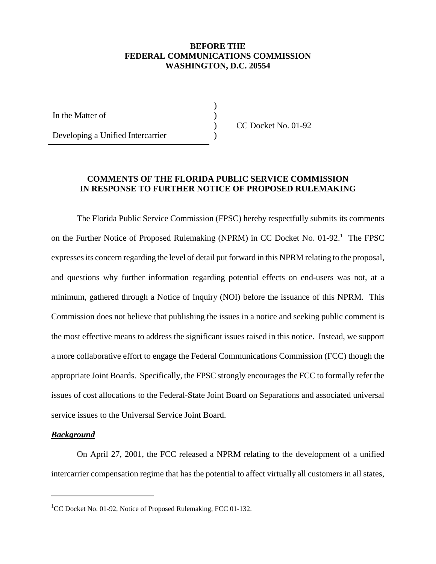## **BEFORE THE FEDERAL COMMUNICATIONS COMMISSION WASHINGTON, D.C. 20554**

) ) ) )

In the Matter of

Developing a Unified Intercarrier

CC Docket No. 01-92

## **COMMENTS OF THE FLORIDA PUBLIC SERVICE COMMISSION IN RESPONSE TO FURTHER NOTICE OF PROPOSED RULEMAKING**

The Florida Public Service Commission (FPSC) hereby respectfully submits its comments on the Further Notice of Proposed Rulemaking (NPRM) in CC Docket No. 01-92.<sup>1</sup> The FPSC expressesits concern regarding the level of detail put forward in this NPRM relating to the proposal, and questions why further information regarding potential effects on end-users was not, at a minimum, gathered through a Notice of Inquiry (NOI) before the issuance of this NPRM. This Commission does not believe that publishing the issues in a notice and seeking public comment is the most effective means to address the significant issues raised in this notice. Instead, we support a more collaborative effort to engage the Federal Communications Commission (FCC) though the appropriate Joint Boards. Specifically, the FPSC strongly encourages the FCC to formally refer the issues of cost allocations to the Federal-State Joint Board on Separations and associated universal service issues to the Universal Service Joint Board.

## *Background*

On April 27, 2001, the FCC released a NPRM relating to the development of a unified intercarrier compensation regime that has the potential to affect virtually all customers in all states,

<sup>&</sup>lt;sup>1</sup>CC Docket No. 01-92, Notice of Proposed Rulemaking, FCC 01-132.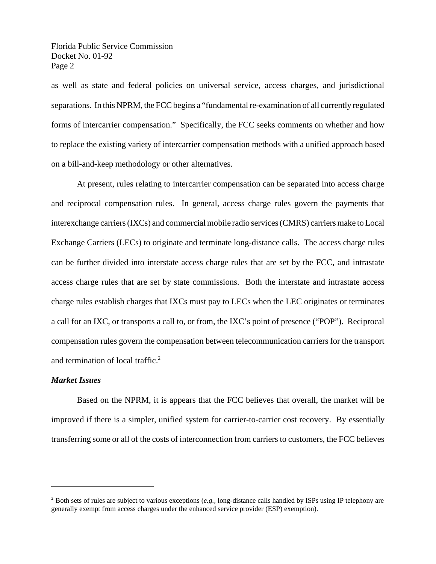as well as state and federal policies on universal service, access charges, and jurisdictional separations. In this NPRM, the FCC begins a "fundamental re-examination of all currently regulated forms of intercarrier compensation." Specifically, the FCC seeks comments on whether and how to replace the existing variety of intercarrier compensation methods with a unified approach based on a bill-and-keep methodology or other alternatives.

At present, rules relating to intercarrier compensation can be separated into access charge and reciprocal compensation rules. In general, access charge rules govern the payments that interexchange carriers(IXCs) and commercial mobile radio services(CMRS) carriers make to Local Exchange Carriers (LECs) to originate and terminate long-distance calls. The access charge rules can be further divided into interstate access charge rules that are set by the FCC, and intrastate access charge rules that are set by state commissions. Both the interstate and intrastate access charge rules establish charges that IXCs must pay to LECs when the LEC originates or terminates a call for an IXC, or transports a call to, or from, the IXC's point of presence ("POP"). Reciprocal compensation rules govern the compensation between telecommunication carriers for the transport and termination of local traffic.<sup>2</sup>

## *Market Issues*

Based on the NPRM, it is appears that the FCC believes that overall, the market will be improved if there is a simpler, unified system for carrier-to-carrier cost recovery. By essentially transferring some or all of the costs of interconnection from carriers to customers, the FCC believes

<sup>2</sup> Both sets of rules are subject to various exceptions (*e.g.,* long-distance calls handled by ISPs using IP telephony are generally exempt from access charges under the enhanced service provider (ESP) exemption).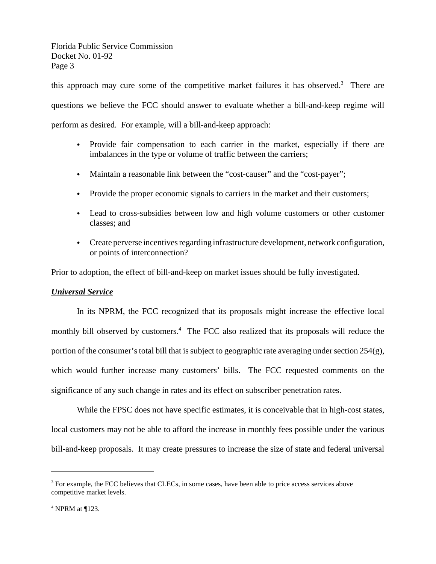this approach may cure some of the competitive market failures it has observed.<sup>3</sup> There are questions we believe the FCC should answer to evaluate whether a bill-and-keep regime will perform as desired. For example, will a bill-and-keep approach:

- Provide fair compensation to each carrier in the market, especially if there are imbalances in the type or volume of traffic between the carriers;
- Maintain a reasonable link between the "cost-causer" and the "cost-payer";
- Provide the proper economic signals to carriers in the market and their customers;
- Lead to cross-subsidies between low and high volume customers or other customer classes; and
- Create perverse incentives regarding infrastructure development, network configuration, or points of interconnection?

Prior to adoption, the effect of bill-and-keep on market issues should be fully investigated.

# *Universal Service*

In its NPRM, the FCC recognized that its proposals might increase the effective local monthly bill observed by customers.<sup>4</sup> The FCC also realized that its proposals will reduce the portion of the consumer's total bill that is subject to geographic rate averaging under section  $254(g)$ , which would further increase many customers' bills. The FCC requested comments on the significance of any such change in rates and its effect on subscriber penetration rates.

While the FPSC does not have specific estimates, it is conceivable that in high-cost states, local customers may not be able to afford the increase in monthly fees possible under the various bill-and-keep proposals. It may create pressures to increase the size of state and federal universal

<sup>&</sup>lt;sup>3</sup> For example, the FCC believes that CLECs, in some cases, have been able to price access services above competitive market levels.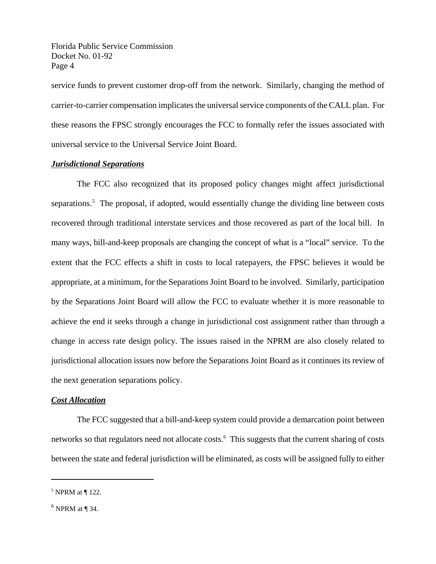service funds to prevent customer drop-off from the network. Similarly, changing the method of carrier-to-carrier compensation implicates the universal service components of the CALL plan. For these reasons the FPSC strongly encourages the FCC to formally refer the issues associated with universal service to the Universal Service Joint Board.

### *Jurisdictional Separations*

The FCC also recognized that its proposed policy changes might affect jurisdictional separations.<sup>5</sup> The proposal, if adopted, would essentially change the dividing line between costs recovered through traditional interstate services and those recovered as part of the local bill. In many ways, bill-and-keep proposals are changing the concept of what is a "local" service. To the extent that the FCC effects a shift in costs to local ratepayers, the FPSC believes it would be appropriate, at a minimum, for the Separations Joint Board to be involved. Similarly, participation by the Separations Joint Board will allow the FCC to evaluate whether it is more reasonable to achieve the end it seeks through a change in jurisdictional cost assignment rather than through a change in access rate design policy. The issues raised in the NPRM are also closely related to jurisdictional allocation issues now before the Separations Joint Board as it continues its review of the next generation separations policy.

## *Cost Allocation*

The FCC suggested that a bill-and-keep system could provide a demarcation point between networks so that regulators need not allocate costs.<sup>6</sup> This suggests that the current sharing of costs between the state and federal jurisdiction will be eliminated, as costs will be assigned fully to either

 $<sup>5</sup>$  NPRM at  $\P$  122.</sup>

 $<sup>6</sup>$  NPRM at ¶ 34.</sup>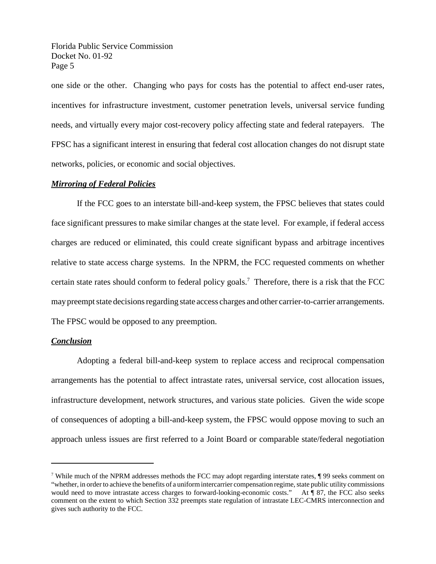one side or the other. Changing who pays for costs has the potential to affect end-user rates, incentives for infrastructure investment, customer penetration levels, universal service funding needs, and virtually every major cost-recovery policy affecting state and federal ratepayers. The FPSC has a significant interest in ensuring that federal cost allocation changes do not disrupt state networks, policies, or economic and social objectives.

#### *Mirroring of Federal Policies*

If the FCC goes to an interstate bill-and-keep system, the FPSC believes that states could face significant pressures to make similar changes at the state level. For example, if federal access charges are reduced or eliminated, this could create significant bypass and arbitrage incentives relative to state access charge systems. In the NPRM, the FCC requested comments on whether certain state rates should conform to federal policy goals.<sup>7</sup> Therefore, there is a risk that the FCC may preempt state decisions regarding state access charges and other carrier-to-carrier arrangements. The FPSC would be opposed to any preemption.

#### *Conclusion*

Adopting a federal bill-and-keep system to replace access and reciprocal compensation arrangements has the potential to affect intrastate rates, universal service, cost allocation issues, infrastructure development, network structures, and various state policies. Given the wide scope of consequences of adopting a bill-and-keep system, the FPSC would oppose moving to such an approach unless issues are first referred to a Joint Board or comparable state/federal negotiation

<sup>&</sup>lt;sup>7</sup> While much of the NPRM addresses methods the FCC may adopt regarding interstate rates,  $\P$ 99 seeks comment on "whether, in order to achieve the benefits of a uniform intercarrier compensation regime, state public utility commissions would need to move intrastate access charges to forward-looking-economic costs." At ¶ 87, the FCC also seeks comment on the extent to which Section 332 preempts state regulation of intrastate LEC-CMRS interconnection and gives such authority to the FCC.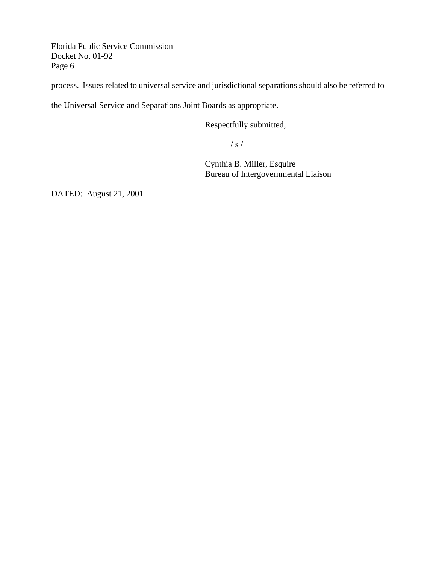process. Issues related to universal service and jurisdictional separations should also be referred to

the Universal Service and Separations Joint Boards as appropriate.

Respectfully submitted,

/ s /

Cynthia B. Miller, Esquire Bureau of Intergovernmental Liaison

DATED: August 21, 2001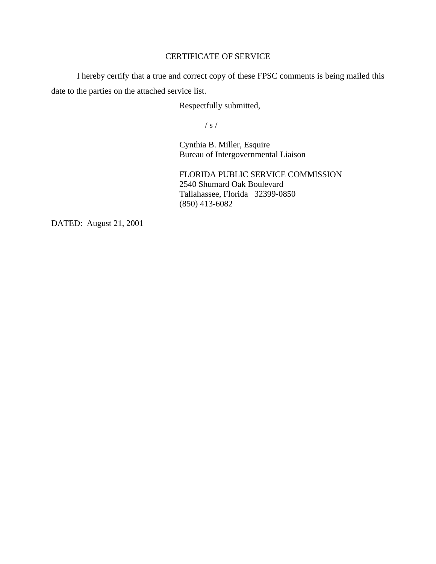# CERTIFICATE OF SERVICE

I hereby certify that a true and correct copy of these FPSC comments is being mailed this date to the parties on the attached service list.

Respectfully submitted,

/ s /

Cynthia B. Miller, Esquire Bureau of Intergovernmental Liaison

FLORIDA PUBLIC SERVICE COMMISSION 2540 Shumard Oak Boulevard Tallahassee, Florida 32399-0850 (850) 413-6082

DATED: August 21, 2001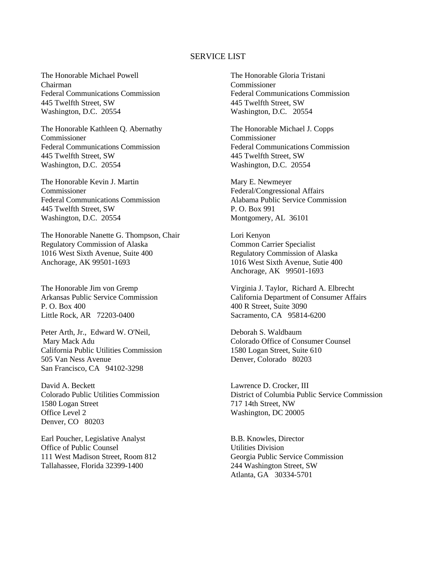#### SERVICE LIST

The Honorable Michael Powell Chairman Federal Communications Commission 445 Twelfth Street, SW Washington, D.C. 20554

The Honorable Kathleen Q. Abernathy Commissioner Federal Communications Commission 445 Twelfth Street, SW Washington, D.C. 20554

The Honorable Kevin J. Martin Commissioner Federal Communications Commission 445 Twelfth Street, SW Washington, D.C. 20554

The Honorable Nanette G. Thompson, Chair Regulatory Commission of Alaska 1016 West Sixth Avenue, Suite 400 Anchorage, AK 99501-1693

The Honorable Jim von Gremp Arkansas Public Service Commission P. O. Box 400 Little Rock, AR 72203-0400

Peter Arth, Jr., Edward W. O'Neil, Mary Mack Adu California Public Utilities Commission 505 Van Ness Avenue San Francisco, CA 94102-3298

David A. Beckett Colorado Public Utilities Commission 1580 Logan Street Office Level 2 Denver, CO 80203

Earl Poucher, Legislative Analyst Office of Public Counsel 111 West Madison Street, Room 812 Tallahassee, Florida 32399-1400

The Honorable Gloria Tristani Commissioner Federal Communications Commission 445 Twelfth Street, SW Washington, D.C. 20554

The Honorable Michael J. Copps Commissioner Federal Communications Commission 445 Twelfth Street, SW Washington, D.C. 20554

Mary E. Newmeyer Federal/Congressional Affairs Alabama Public Service Commission P. O. Box 991 Montgomery, AL 36101

Lori Kenyon Common Carrier Specialist Regulatory Commission of Alaska 1016 West Sixth Avenue, Sutie 400 Anchorage, AK 99501-1693

Virginia J. Taylor, Richard A. Elbrecht California Department of Consumer Affairs 400 R Street, Suite 3090 Sacramento, CA 95814-6200

Deborah S. Waldbaum Colorado Office of Consumer Counsel 1580 Logan Street, Suite 610 Denver, Colorado 80203

Lawrence D. Crocker, III District of Columbia Public Service Commission 717 14th Street, NW Washington, DC 20005

B.B. Knowles, Director Utilities Division Georgia Public Service Commission 244 Washington Street, SW Atlanta, GA 30334-5701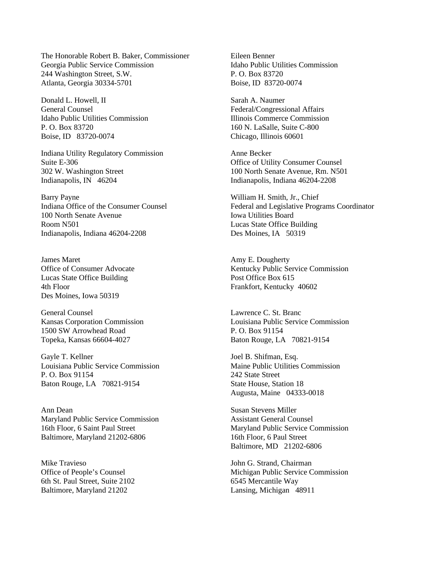The Honorable Robert B. Baker, Commissioner Georgia Public Service Commission 244 Washington Street, S.W. Atlanta, Georgia 30334-5701

Donald L. Howell, II General Counsel Idaho Public Utilities Commission P. O. Box 83720 Boise, ID 83720-0074

Indiana Utility Regulatory Commission Suite E-306 302 W. Washington Street Indianapolis, IN 46204

Barry Payne Indiana Office of the Consumer Counsel 100 North Senate Avenue Room N501 Indianapolis, Indiana 46204-2208

James Maret Office of Consumer Advocate Lucas State Office Building 4th Floor Des Moines, Iowa 50319

General Counsel Kansas Corporation Commission 1500 SW Arrowhead Road Topeka, Kansas 66604-4027

Gayle T. Kellner Louisiana Public Service Commission P. O. Box 91154 Baton Rouge, LA 70821-9154

Ann Dean Maryland Public Service Commission 16th Floor, 6 Saint Paul Street Baltimore, Maryland 21202-6806

Mike Travieso Office of People's Counsel 6th St. Paul Street, Suite 2102 Baltimore, Maryland 21202

Eileen Benner Idaho Public Utilities Commission P. O. Box 83720 Boise, ID 83720-0074

Sarah A. Naumer Federal/Congressional Affairs Illinois Commerce Commission 160 N. LaSalle, Suite C-800 Chicago, Illinois 60601

Anne Becker Office of Utility Consumer Counsel 100 North Senate Avenue, Rm. N501 Indianapolis, Indiana 46204-2208

William H. Smith, Jr., Chief Federal and Legislative Programs Coordinator Iowa Utilities Board Lucas State Office Building Des Moines, IA 50319

Amy E. Dougherty Kentucky Public Service Commission Post Office Box 615 Frankfort, Kentucky 40602

Lawrence C. St. Branc Louisiana Public Service Commission P. O. Box 91154 Baton Rouge, LA 70821-9154

Joel B. Shifman, Esq. Maine Public Utilities Commission 242 State Street State House, Station 18 Augusta, Maine 04333-0018

Susan Stevens Miller Assistant General Counsel Maryland Public Service Commission 16th Floor, 6 Paul Street Baltimore, MD 21202-6806

John G. Strand, Chairman Michigan Public Service Commission 6545 Mercantile Way Lansing, Michigan 48911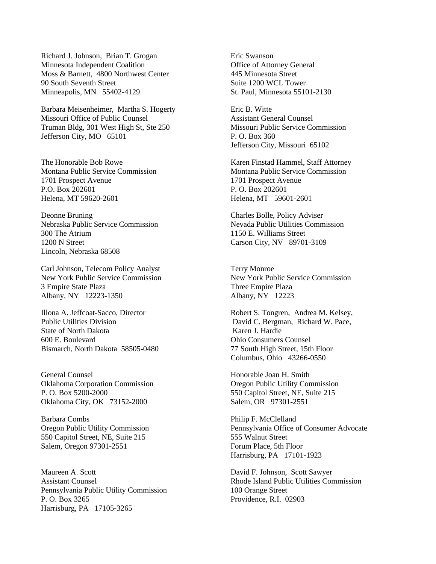Richard J. Johnson, Brian T. Grogan Minnesota Independent Coalition Moss & Barnett, 4800 Northwest Center 90 South Seventh Street Minneapolis, MN 55402-4129

Barbara Meisenheimer, Martha S. Hogerty Missouri Office of Public Counsel Truman Bldg, 301 West High St, Ste 250 Jefferson City, MO 65101

The Honorable Bob Rowe Montana Public Service Commission 1701 Prospect Avenue P.O. Box 202601 Helena, MT 59620-2601

Deonne Bruning Nebraska Public Service Commission 300 The Atrium 1200 N Street Lincoln, Nebraska 68508

Carl Johnson, Telecom Policy Analyst New York Public Service Commission 3 Empire State Plaza Albany, NY 12223-1350

Illona A. Jeffcoat-Sacco, Director Public Utilities Division State of North Dakota 600 E. Boulevard Bismarch, North Dakota 58505-0480

General Counsel Oklahoma Corporation Commission P. O. Box 5200-2000 Oklahoma City, OK 73152-2000

Barbara Combs Oregon Public Utility Commission 550 Capitol Street, NE, Suite 215 Salem, Oregon 97301-2551

Maureen A. Scott Assistant Counsel Pennsylvania Public Utility Commission P. O. Box 3265 Harrisburg, PA 17105-3265

Eric Swanson Office of Attorney General 445 Minnesota Street Suite 1200 WCL Tower St. Paul, Minnesota 55101-2130

Eric B. Witte Assistant General Counsel Missouri Public Service Commission P. O. Box 360 Jefferson City, Missouri 65102

Karen Finstad Hammel, Staff Attorney Montana Public Service Commission 1701 Prospect Avenue P. O. Box 202601 Helena, MT 59601-2601

Charles Bolle, Policy Adviser Nevada Public Utilities Commission 1150 E. Williams Street Carson City, NV 89701-3109

Terry Monroe New York Public Service Commission Three Empire Plaza Albany, NY 12223

Robert S. Tongren, Andrea M. Kelsey, David C. Bergman, Richard W. Pace, Karen J. Hardie Ohio Consumers Counsel 77 South High Street, 15th Floor Columbus, Ohio 43266-0550

Honorable Joan H. Smith Oregon Public Utility Commission 550 Capitol Street, NE, Suite 215 Salem, OR 97301-2551

Philip F. McClelland Pennsylvania Office of Consumer Advocate 555 Walnut Street Forum Place, 5th Floor Harrisburg, PA 17101-1923

David F. Johnson, Scott Sawyer Rhode Island Public Utilities Commission 100 Orange Street Providence, R.I. 02903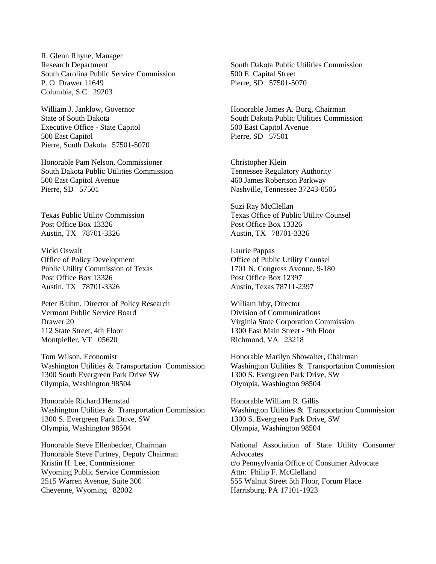R. Glenn Rhyne, Manager Research Department South Carolina Public Service Commission P. O. Drawer 11649 Columbia, S.C. 29203

William J. Janklow, Governor State of South Dakota Executive Office - State Capitol 500 East Capitol Pierre, South Dakota 57501-5070

Honorable Pam Nelson, Commissioner South Dakota Public Utilities Commission 500 East Capitol Avenue Pierre, SD 57501

Texas Public Utility Commission Post Office Box 13326 Austin, TX 78701-3326

Vicki Oswalt Office of Policy Development Public Utility Commission of Texas Post Office Box 13326 Austin, TX 78701-3326

Peter Bluhm, Director of Policy Research Vermont Public Service Board Drawer 20 112 State Street, 4th Floor Montpieller, VT 05620

Tom Wilson, Economist Washington Utilities & Transportation Commission 1300 South Evergreen Park Drive SW Olympia, Washington 98504

Honorable Richard Hemstad Washington Utilities & Transportation Commission 1300 S. Evergreen Park Drive, SW Olympia, Washington 98504

Honorable Steve Ellenbecker, Chairman Honorable Steve Furtney, Deputy Chairman Kristin H. Lee, Commissioner Wyoming Public Service Commission 2515 Warren Avenue, Suite 300 Cheyenne, Wyoming 82002

South Dakota Public Utilities Commission 500 E. Capital Street Pierre, SD 57501-5070

Honorable James A. Burg, Chairman South Dakota Public Utilities Commission 500 East Capitol Avenue Pierre, SD 57501

Christopher Klein Tennessee Regulatory Authority 460 James Robertson Parkway Nashville, Tennessee 37243-0505

Suzi Ray McClellan Texas Office of Public Utility Counsel Post Office Box 13326 Austin, TX 78701-3326

Laurie Pappas Office of Public Utility Counsel 1701 N. Congress Avenue, 9-180 Post Office Box 12397 Austin, Texas 78711-2397

William Irby, Director Division of Communications Virginia State Corporation Commission 1300 East Main Street - 9th Floor Richmond, VA 23218

Honorable Marilyn Showalter, Chairman Washington Utilities & Transportation Commission 1300 S. Evergreen Park Drive, SW Olympia, Washington 98504

Honorable William R. Gillis Washington Utilities & Transportation Commission 1300 S. Evergreen Park Drive, SW Olympia, Washington 98504

National Association of State Utility Consumer **Advocates** c/o Pennsylvania Office of Consumer Advocate Attn: Philip F. McClelland 555 Walnut Street 5th Floor, Forum Place Harrisburg, PA 17101-1923